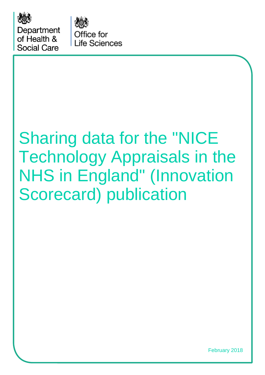

Department of Health & Social Care

Office for **Life Sciences** 

# Sharing data for the "NICE Technology Appraisals in the NHS in England" (Innovation Scorecard) publication

February 2018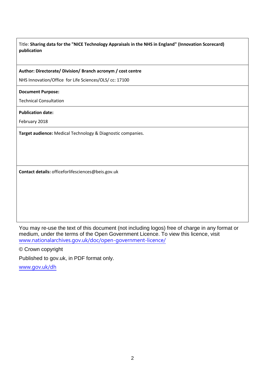#### **Author: Directorate/ Division/ Branch acronym / cost centre**

NHS Innovation/Office for Life Sciences/OLS/ cc: 17100

#### **Document Purpose:**

Technical Consultation

#### **Publication date:**

February 2018

**Target audience:** Medical Technology & Diagnostic companies.

**Contact details:** officeforlifesciences@beis.gov.uk

You may re-use the text of this document (not including logos) free of charge in any format or medium, under the terms of the Open Government Licence. To view this licence, visit [www.nationalarchives.gov.uk/doc/open-government-licence/](http://www.nationalarchives.gov.uk/doc/open-government-licence/)

© Crown copyright

Published to gov.uk, in PDF format only.

[www.gov.uk/dh](http://www.gov.uk/dh)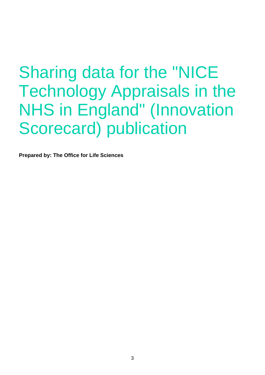**Prepared by: The Office for Life Sciences**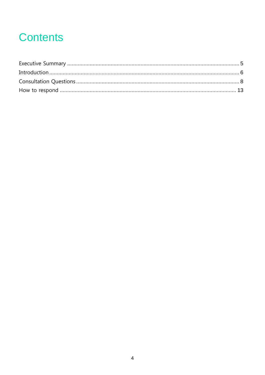# **Contents**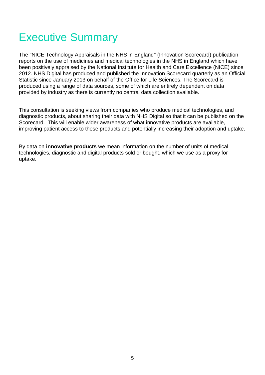# <span id="page-4-0"></span>Executive Summary

The "NICE Technology Appraisals in the NHS in England" (Innovation Scorecard) publication reports on the use of medicines and medical technologies in the NHS in England which have been positively appraised by the National Institute for Health and Care Excellence (NICE) since 2012. NHS Digital has produced and published the Innovation Scorecard quarterly as an Official Statistic since January 2013 on behalf of the Office for Life Sciences. The Scorecard is produced using a range of data sources, some of which are entirely dependent on data provided by industry as there is currently no central data collection available.

This consultation is seeking views from companies who produce medical technologies, and diagnostic products, about sharing their data with NHS Digital so that it can be published on the Scorecard. This will enable wider awareness of what innovative products are available, improving patient access to these products and potentially increasing their adoption and uptake.

By data on **innovative products** we mean information on the number of units of medical technologies, diagnostic and digital products sold or bought, which we use as a proxy for uptake.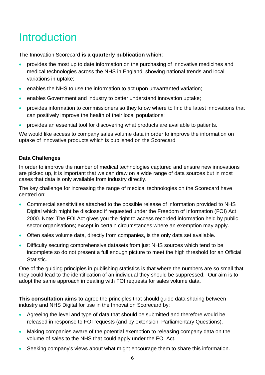# <span id="page-5-0"></span>**Introduction**

The Innovation Scorecard **is a quarterly publication which**:

- provides the most up to date information on the purchasing of innovative medicines and medical technologies across the NHS in England, showing national trends and local variations in uptake;
- enables the NHS to use the information to act upon unwarranted variation;
- **enables Government and industry to better understand innovation uptake;**
- **•** provides information to commissioners so they know where to find the latest innovations that can positively improve the health of their local populations;
- provides an essential tool for discovering what products are available to patients.

We would like access to company sales volume data in order to improve the information on uptake of innovative products which is published on the Scorecard.

# **Data Challenges**

In order to improve the number of medical technologies captured and ensure new innovations are picked up, it is important that we can draw on a wide range of data sources but in most cases that data is only available from industry directly.

The key challenge for increasing the range of medical technologies on the Scorecard have centred on:

- Commercial sensitivities attached to the possible release of information provided to NHS Digital which might be disclosed if requested under the Freedom of Information (FOI) Act 2000. Note: The FOI Act gives you the right to access recorded information held by public sector organisations; except in certain circumstances where an exemption may apply.
- Often sales volume data, directly from companies, is the only data set available.
- Difficulty securing comprehensive datasets from just NHS sources which tend to be incomplete so do not present a full enough picture to meet the high threshold for an Official Statistic.

One of the guiding principles in publishing statistics is that where the numbers are so small that they could lead to the identification of an individual they should be suppressed. Our aim is to adopt the same approach in dealing with FOI requests for sales volume data.

**This consultation aims to** agree the principles that should guide data sharing between industry and NHS Digital for use in the Innovation Scorecard by:

- Agreeing the level and type of data that should be submitted and therefore would be released in response to FOI requests (and by extension, Parliamentary Questions).
- Making companies aware of the potential exemption to releasing company data on the volume of sales to the NHS that could apply under the FOI Act.
- Seeking company's views about what might encourage them to share this information.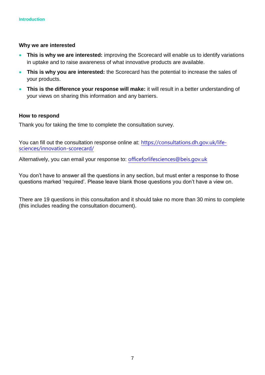#### **Why we are interested**

- **This is why we are interested:** improving the Scorecard will enable us to identify variations in uptake and to raise awareness of what innovative products are available.
- **This is why you are interested:** the Scorecard has the potential to increase the sales of your products.
- **This is the difference your response will make:** it will result in a better understanding of your views on sharing this information and any barriers.

#### **How to respond**

Thank you for taking the time to complete the consultation survey.

You can fill out the consultation response online at: [https://consultations.dh.gov.uk/life](https://consultations.dh.gov.uk/life-sciences/innovation-scorecard/)[sciences/innovation-scorecard/](https://consultations.dh.gov.uk/life-sciences/innovation-scorecard/)

Alternatively, you can email your response to: [officeforlifesciences@beis.gov.uk](mailto:officeforlifesciences@beis.gov.uk)

You don't have to answer all the questions in any section, but must enter a response to those questions marked 'required'. Please leave blank those questions you don't have a view on.

There are 19 questions in this consultation and it should take no more than 30 mins to complete (this includes reading the consultation document).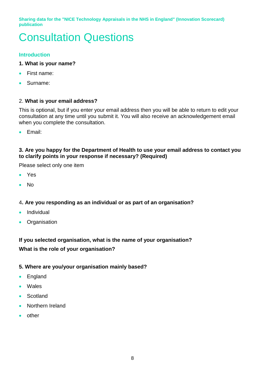# <span id="page-7-0"></span>Consultation Questions

# **Introduction**

- **1. What is your name?**
- First name:
- Surname:

# 2. **What is your email address?**

This is optional, but if you enter your email address then you will be able to return to edit your consultation at any time until you submit it. You will also receive an acknowledgement email when you complete the consultation.

Email:

# **3. Are you happy for the Department of Health to use your email address to contact you to clarify points in your response if necessary? (Required)**

Please select only one item

- Yes
- No

# 4**. Are you responding as an individual or as part of an organisation?**

- **•** Individual
- Organisation

# **If you selected organisation, what is the name of your organisation? What is the role of your organisation?**

# **5. Where are you/your organisation mainly based?**

- England
- Wales
- **Scotland**
- **•** Northern Ireland
- **•** other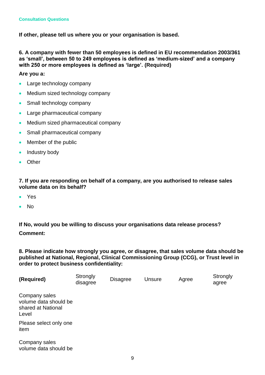**If other, please tell us where you or your organisation is based.**

**6. A company with fewer than 50 employees is defined in EU recommendation 2003/361 as 'small', between 50 to 249 employees is defined as 'medium-sized' and a company with 250 or more employees is defined as 'large'. (Required)**

**Are you a:** 

- Large technology company
- Medium sized technology company
- Small technology company
- Large pharmaceutical company
- Medium sized pharmaceutical company
- Small pharmaceutical company
- Member of the public
- Industry body
- Other

**7. If you are responding on behalf of a company, are you authorised to release sales volume data on its behalf?** 

- Yes
- No

**If No, would you be willing to discuss your organisations data release process? Comment:**

**8. Please indicate how strongly you agree, or disagree, that sales volume data should be published at National, Regional, Clinical Commissioning Group (CCG), or Trust level in order to protect business confidentiality:** 

| (Required)                                                            | Strongly<br>disagree | <b>Disagree</b> | <b>Unsure</b> | Agree | Strongly<br>agree |
|-----------------------------------------------------------------------|----------------------|-----------------|---------------|-------|-------------------|
| Company sales<br>volume data should be<br>shared at National<br>Level |                      |                 |               |       |                   |
| Please select only one<br>item                                        |                      |                 |               |       |                   |
| Company sales                                                         |                      |                 |               |       |                   |

volume data should be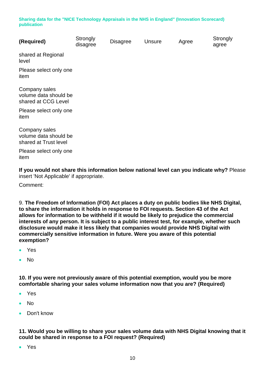| (Required)                                                      | Strongly<br>disagree | <b>Disagree</b> | Unsure | Agree | Strongly<br>agree |
|-----------------------------------------------------------------|----------------------|-----------------|--------|-------|-------------------|
| shared at Regional<br>level                                     |                      |                 |        |       |                   |
| Please select only one<br>item                                  |                      |                 |        |       |                   |
| Company sales<br>volume data should be<br>shared at CCG Level   |                      |                 |        |       |                   |
| Please select only one<br>item                                  |                      |                 |        |       |                   |
| Company sales<br>volume data should be<br>shared at Trust level |                      |                 |        |       |                   |
| Please select only one<br>item                                  |                      |                 |        |       |                   |

**If you would not share this information below national level can you indicate why?** Please insert 'Not Applicable' if appropriate.

Comment:

9. **The Freedom of Information (FOI) Act places a duty on public bodies like NHS Digital, to share the information it holds in response to FOI requests. Section 43 of the Act allows for information to be withheld if it would be likely to prejudice the commercial interests of any person. It is subject to a public interest test, for example, whether such disclosure would make it less likely that companies would provide NHS Digital with commercially sensitive information in future. Were you aware of this potential exemption?**

- Yes
- No

**10. If you were not previously aware of this potential exemption, would you be more comfortable sharing your sales volume information now that you are? (Required)**

- Yes
- $\bullet$  No
- Don't know

**11. Would you be willing to share your sales volume data with NHS Digital knowing that it could be shared in response to a FOI request? (Required)**

Yes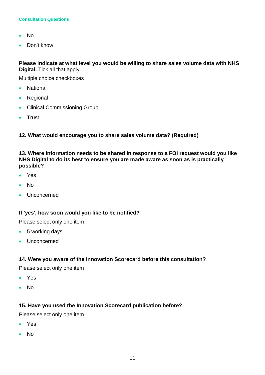#### **Consultation Questions**

- No
- Don't know

**Please indicate at what level you would be willing to share sales volume data with NHS Digital.** Tick all that apply.

Multiple choice checkboxes

- National
- Regional
- Clinical Commissioning Group
- Trust

**12. What would encourage you to share sales volume data? (Required)**

**13. Where information needs to be shared in response to a FOI request would you like NHS Digital to do its best to ensure you are made aware as soon as is practically possible?** 

- Yes
- No
- **Unconcerned**

### **If 'yes', how soon would you like to be notified?**

Please select only one item

- 5 working days
- Unconcerned

### **14. Were you aware of the Innovation Scorecard before this consultation?**

Please select only one item

- Yes
- No

### **15. Have you used the Innovation Scorecard publication before?**

Please select only one item

- Yes
- No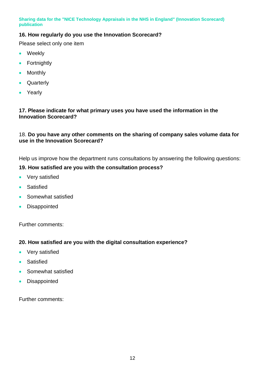# **16. How regularly do you use the Innovation Scorecard?**

Please select only one item

- Weekly
- Fortnightly
- Monthly
- Quarterly
- Yearly

### **17. Please indicate for what primary uses you have used the information in the Innovation Scorecard?**

### 18. **Do you have any other comments on the sharing of company sales volume data for use in the Innovation Scorecard?**

Help us improve how the department runs consultations by answering the following questions:

### **19. How satisfied are you with the consultation process?**

- Very satisfied
- **•** Satisfied
- Somewhat satisfied
- **•** Disappointed

Further comments:

### **20. How satisfied are you with the digital consultation experience?**

- Very satisfied
- **•** Satisfied
- Somewhat satisfied
- Disappointed

Further comments: